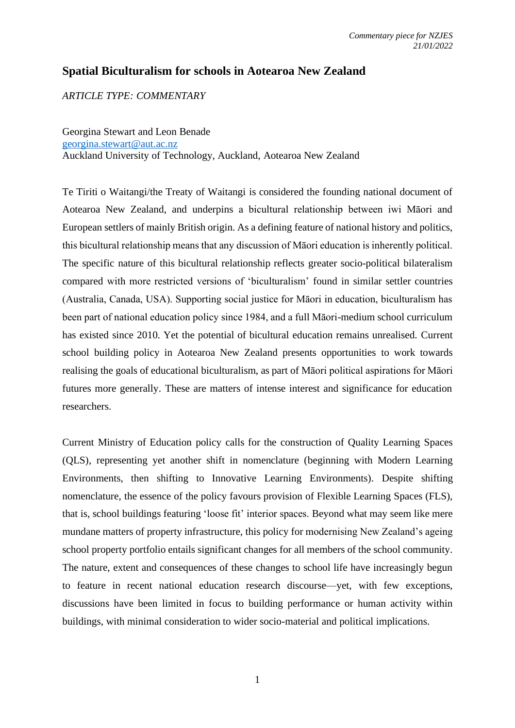## **Spatial Biculturalism for schools in Aotearoa New Zealand**

*ARTICLE TYPE: COMMENTARY*

Georgina Stewart and Leon Benade [georgina.stewart@aut.ac.nz](mailto:georgina.stewart@aut.ac.nz) Auckland University of Technology, Auckland, Aotearoa New Zealand

Te Tiriti o Waitangi/the Treaty of Waitangi is considered the founding national document of Aotearoa New Zealand, and underpins a bicultural relationship between iwi Māori and European settlers of mainly British origin. As a defining feature of national history and politics, this bicultural relationship means that any discussion of Māori education is inherently political. The specific nature of this bicultural relationship reflects greater socio-political bilateralism compared with more restricted versions of 'biculturalism' found in similar settler countries (Australia, Canada, USA). Supporting social justice for Māori in education, biculturalism has been part of national education policy since 1984, and a full Māori-medium school curriculum has existed since 2010. Yet the potential of bicultural education remains unrealised. Current school building policy in Aotearoa New Zealand presents opportunities to work towards realising the goals of educational biculturalism, as part of Māori political aspirations for Māori futures more generally. These are matters of intense interest and significance for education researchers.

Current Ministry of Education policy calls for the construction of Quality Learning Spaces (QLS), representing yet another shift in nomenclature (beginning with Modern Learning Environments, then shifting to Innovative Learning Environments). Despite shifting nomenclature, the essence of the policy favours provision of Flexible Learning Spaces (FLS), that is, school buildings featuring 'loose fit' interior spaces. Beyond what may seem like mere mundane matters of property infrastructure, this policy for modernising New Zealand's ageing school property portfolio entails significant changes for all members of the school community. The nature, extent and consequences of these changes to school life have increasingly begun to feature in recent national education research discourse—yet, with few exceptions, discussions have been limited in focus to building performance or human activity within buildings, with minimal consideration to wider socio-material and political implications.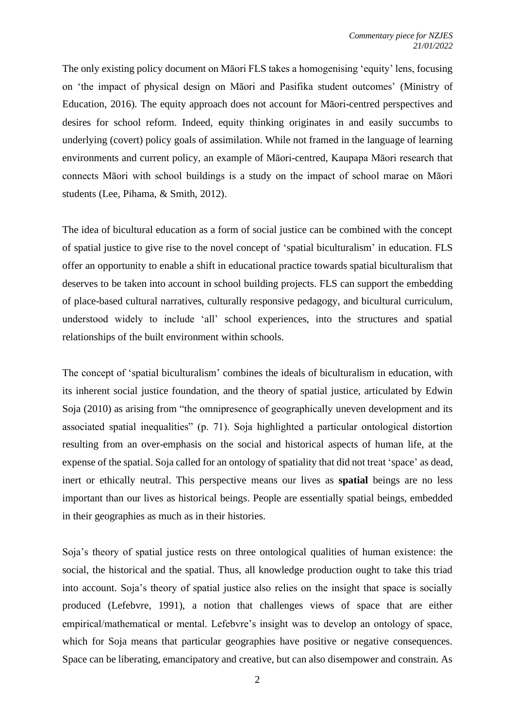The only existing policy document on Māori FLS takes a homogenising 'equity' lens, focusing on 'the impact of physical design on Māori and Pasifika student outcomes' (Ministry of Education, 2016). The equity approach does not account for Māori-centred perspectives and desires for school reform. Indeed, equity thinking originates in and easily succumbs to underlying (covert) policy goals of assimilation. While not framed in the language of learning environments and current policy, an example of Māori-centred, Kaupapa Māori research that connects Māori with school buildings is a study on the impact of school marae on Māori students (Lee, Pihama, & Smith, 2012).

The idea of bicultural education as a form of social justice can be combined with the concept of spatial justice to give rise to the novel concept of 'spatial biculturalism' in education. FLS offer an opportunity to enable a shift in educational practice towards spatial biculturalism that deserves to be taken into account in school building projects. FLS can support the embedding of place-based cultural narratives, culturally responsive pedagogy, and bicultural curriculum, understood widely to include 'all' school experiences, into the structures and spatial relationships of the built environment within schools.

The concept of 'spatial biculturalism' combines the ideals of biculturalism in education, with its inherent social justice foundation, and the theory of spatial justice, articulated by Edwin Soja (2010) as arising from "the omnipresence of geographically uneven development and its associated spatial inequalities" (p. 71). Soja highlighted a particular ontological distortion resulting from an over-emphasis on the social and historical aspects of human life, at the expense of the spatial. Soja called for an ontology of spatiality that did not treat 'space' as dead, inert or ethically neutral. This perspective means our lives as **spatial** beings are no less important than our lives as historical beings. People are essentially spatial beings, embedded in their geographies as much as in their histories.

Soja's theory of spatial justice rests on three ontological qualities of human existence: the social, the historical and the spatial. Thus, all knowledge production ought to take this triad into account. Soja's theory of spatial justice also relies on the insight that space is socially produced (Lefebvre, 1991), a notion that challenges views of space that are either empirical/mathematical or mental. Lefebvre's insight was to develop an ontology of space, which for Soja means that particular geographies have positive or negative consequences. Space can be liberating, emancipatory and creative, but can also disempower and constrain. As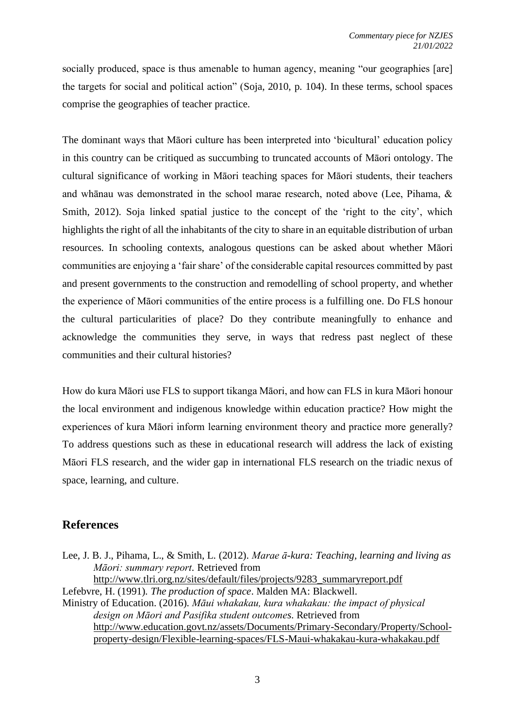socially produced, space is thus amenable to human agency, meaning "our geographies [are] the targets for social and political action" (Soja, 2010, p. 104). In these terms, school spaces comprise the geographies of teacher practice.

The dominant ways that Māori culture has been interpreted into 'bicultural' education policy in this country can be critiqued as succumbing to truncated accounts of Māori ontology. The cultural significance of working in Māori teaching spaces for Māori students, their teachers and whānau was demonstrated in the school marae research, noted above (Lee, Pihama, & Smith, 2012). Soja linked spatial justice to the concept of the 'right to the city', which highlights the right of all the inhabitants of the city to share in an equitable distribution of urban resources. In schooling contexts, analogous questions can be asked about whether Māori communities are enjoying a 'fair share' of the considerable capital resources committed by past and present governments to the construction and remodelling of school property, and whether the experience of Māori communities of the entire process is a fulfilling one. Do FLS honour the cultural particularities of place? Do they contribute meaningfully to enhance and acknowledge the communities they serve, in ways that redress past neglect of these communities and their cultural histories?

How do kura Māori use FLS to support tikanga Māori, and how can FLS in kura Māori honour the local environment and indigenous knowledge within education practice? How might the experiences of kura Māori inform learning environment theory and practice more generally? To address questions such as these in educational research will address the lack of existing Māori FLS research, and the wider gap in international FLS research on the triadic nexus of space, learning, and culture.

## **References**

Lee, J. B. J., Pihama, L., & Smith, L. (2012). *Marae ā-kura: Teaching, learning and living as Māori: summary report.* Retrieved from [http://www.tlri.org.nz/sites/default/files/projects/9283\\_summaryreport.pdf](http://www.tlri.org.nz/sites/default/files/projects/9283_summaryreport.pdf) Lefebvre, H. (1991). *The production of space*. Malden MA: Blackwell. Ministry of Education. (2016). *Māui whakakau, kura whakakau: the impact of physical* 

*design on Māori and Pasifika student outcomes*. Retrieved from [http://www.education.govt.nz/assets/Documents/Primary-Secondary/Property/School](http://www.education.govt.nz/assets/Documents/Primary-Secondary/Property/School-property-design/Flexible-learning-spaces/FLS-Maui-whakakau-kura-whakakau.pdf)[property-design/Flexible-learning-spaces/FLS-Maui-whakakau-kura-whakakau.pdf](http://www.education.govt.nz/assets/Documents/Primary-Secondary/Property/School-property-design/Flexible-learning-spaces/FLS-Maui-whakakau-kura-whakakau.pdf)